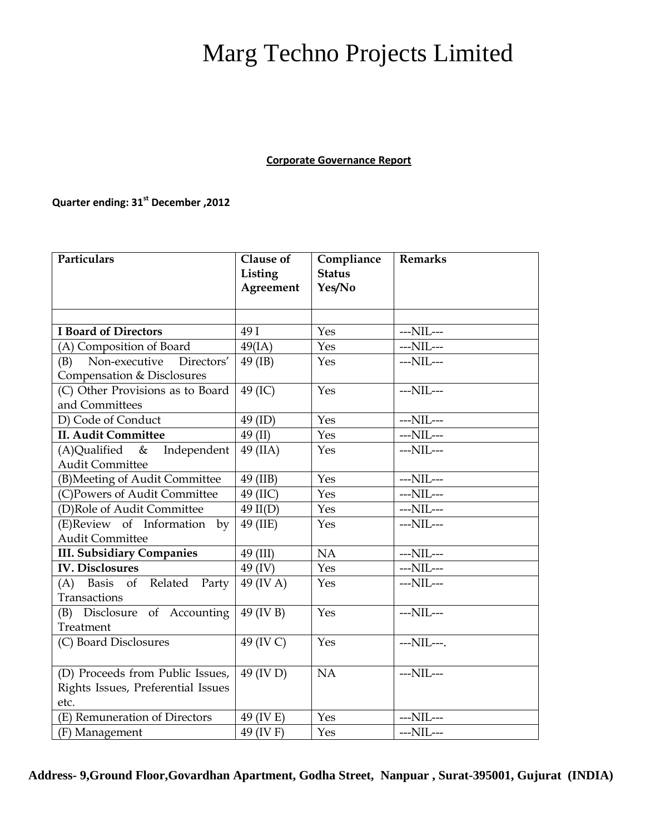## Marg Techno Projects Limited

**Corporate Governance Report**

## **Quarter ending: 31st December ,2012**

| Particulars                                                            | Clause of<br>Listing | Compliance<br><b>Status</b> | <b>Remarks</b>   |
|------------------------------------------------------------------------|----------------------|-----------------------------|------------------|
|                                                                        | Agreement            | Yes/No                      |                  |
|                                                                        |                      |                             |                  |
| <b>I Board of Directors</b>                                            | 49 I                 | Yes                         | $--NIL--$        |
| (A) Composition of Board                                               | 49(IA)               | Yes                         | ---NIL---        |
| (B)<br>Non-executive<br>Directors'                                     | 49 (IB)              | Yes                         | $--NIL--$        |
| Compensation & Disclosures                                             |                      |                             |                  |
| (C) Other Provisions as to Board                                       | 49 (IC)              | Yes                         | ---NIL---        |
| and Committees                                                         |                      |                             |                  |
| D) Code of Conduct                                                     | 49 (ID)              | Yes                         | $--NIL--$        |
| <b>II. Audit Committee</b>                                             | 49 (II)              | Yes                         | $--NIL--$        |
| $(A)$ Qualified &<br>Independent                                       | 49 (IIA)             | Yes                         | $--NIL--$        |
| <b>Audit Committee</b>                                                 |                      |                             |                  |
| (B)Meeting of Audit Committee                                          | 49 (IIB)             | Yes                         | $--NIL--$        |
| (C)Powers of Audit Committee                                           | 49 (IIC)             | Yes                         | $--\text{NIL}--$ |
| (D)Role of Audit Committee                                             | $49$ II(D)           | Yes                         | $--NIL--$        |
| (E)Review of Information by                                            | 49 (IIE)             | Yes                         | $--NIL--$        |
| <b>Audit Committee</b>                                                 |                      |                             |                  |
| <b>III. Subsidiary Companies</b>                                       | 49 (III)             | NA                          | $--NIL--$        |
| <b>IV. Disclosures</b>                                                 | 49 (IV)              | Yes                         | $--\text{NIL}--$ |
| (A) Basis of Related Party                                             | 49 (IV A)            | Yes                         | ---NIL---        |
| Transactions                                                           |                      |                             |                  |
| (B) Disclosure of Accounting                                           | 49 (IV B)            | Yes                         | ---NIL---        |
| Treatment                                                              |                      |                             |                  |
| (C) Board Disclosures                                                  | 49 (IV C)            | Yes                         | ---NIL---.       |
|                                                                        |                      | NA                          | ---NIL---        |
| (D) Proceeds from Public Issues,<br>Rights Issues, Preferential Issues | 49 (IV D)            |                             |                  |
| etc.                                                                   |                      |                             |                  |
| (E) Remuneration of Directors                                          | 49 (IV E)            | Yes                         | $--NIL--$        |
| (F) Management                                                         | 49 (IV F)            | Yes                         | $--NIL--$        |

**Address- 9,Ground Floor,Govardhan Apartment, Godha Street, Nanpuar , Surat-395001, Gujurat (INDIA)**